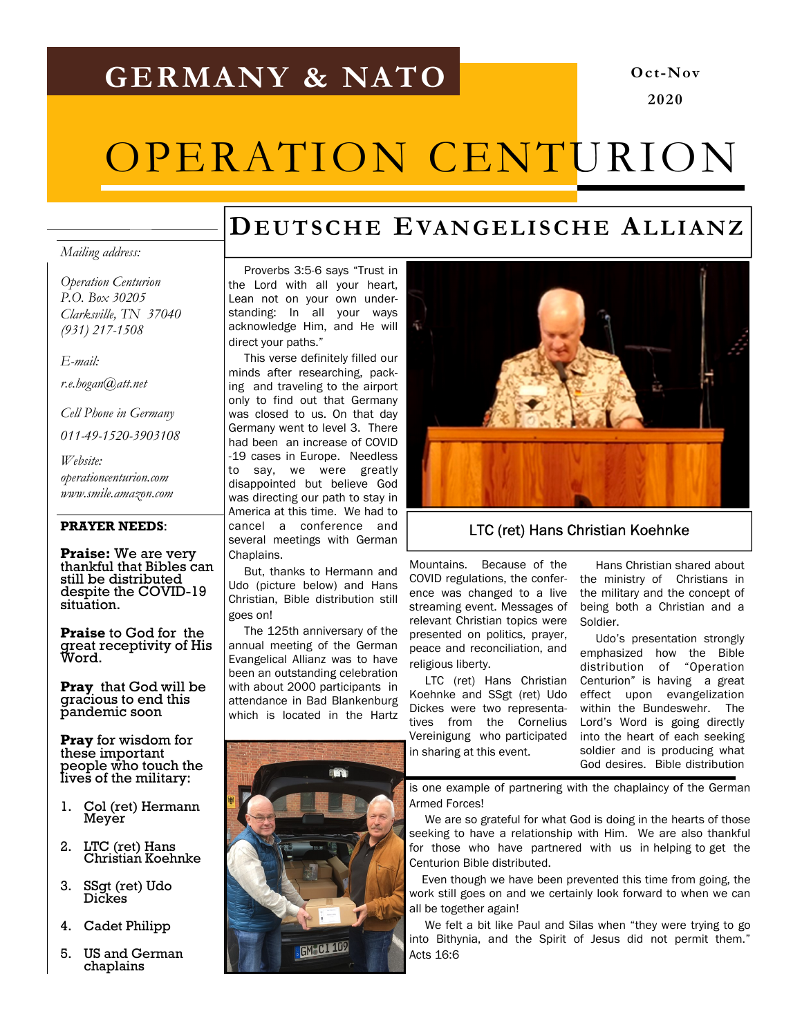# GERMANY & NATO

# Oct-Nov 2020

# OPERATION CENTURION

# DEUTSCHE EVANGELISCHE ALLIANZ

#### Mailing address:

Operation Centurion P.O. Box 30205 Clarksville, TN 37040 (931) 217-1508

E-mail:

r.e.hogan@att.net

Cell Phone in Germany

011-49-1520-3903108

Website: operationcenturion.com www.smile.amazon.com

#### PRAYER NEEDS:

Praise: We are very thankful that Bibles can still be distributed despite the COVID-19 situation.

Praise to God for the great receptivity of His Word.

**Pray** that God will be gracious to end this pandemic soon

Pray for wisdom for these important people who touch the lives of the military:

- 1. Col (ret) Hermann Meyer
- 2. LTC (ret) Hans Christian Koehnke
- 3. SSgt (ret) Udo Dickes
- 4. Cadet Philipp
- 5. US and German chaplains

 Proverbs 3:5-6 says "Trust in the Lord with all your heart, Lean not on your own understanding: In all your ways acknowledge Him, and He will direct your paths."

 This verse definitely filled our minds after researching, packing and traveling to the airport only to find out that Germany was closed to us. On that day Germany went to level 3. There had been an increase of COVID -19 cases in Europe. Needless to say, we were greatly disappointed but believe God was directing our path to stay in America at this time. We had to cancel a conference and several meetings with German Chaplains.

 But, thanks to Hermann and Udo (picture below) and Hans Christian, Bible distribution still goes on!

 The 125th anniversary of the annual meeting of the German Evangelical Allianz was to have been an outstanding celebration with about 2000 participants in attendance in Bad Blankenburg which is located in the Hartz





### LTC (ret) Hans Christian Koehnke

Mountains. Because of the COVID regulations, the conference was changed to a live streaming event. Messages of relevant Christian topics were presented on politics, prayer, peace and reconciliation, and religious liberty.

 LTC (ret) Hans Christian Koehnke and SSgt (ret) Udo Dickes were two representatives from the Cornelius Vereinigung who participated in sharing at this event.

 Hans Christian shared about the ministry of Christians in the military and the concept of being both a Christian and a Soldier.

 Udo's presentation strongly emphasized how the Bible distribution of "Operation Centurion" is having a great effect upon evangelization within the Bundeswehr. The Lord's Word is going directly into the heart of each seeking soldier and is producing what God desires. Bible distribution

is one example of partnering with the chaplaincy of the German Armed Forces!

 We are so grateful for what God is doing in the hearts of those seeking to have a relationship with Him. We are also thankful for those who have partnered with us in helping to get the Centurion Bible distributed.

 Even though we have been prevented this time from going, the work still goes on and we certainly look forward to when we can all be together again!

 We felt a bit like Paul and Silas when "they were trying to go into Bithynia, and the Spirit of Jesus did not permit them." Acts 16:6